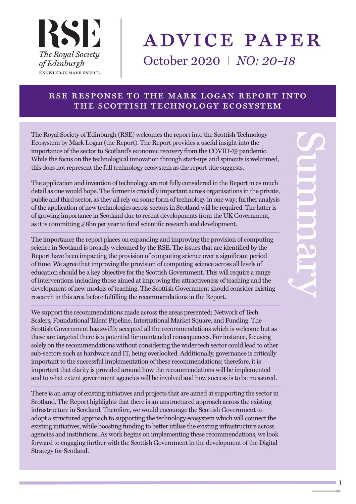

# advice paper

October 2020 I *NO: 20–18*

#### rse response to the mark logan report into the scottish technology ecosystem

The Royal Society of Edinburgh (RSE) welcomes the report into the Scottish Technology Ecosystem by Mark Logan (the Report). The Report provides a useful insight into the importance of the sector to Scotland's economic recovery from the COVID-19 pandemic. While the focus on the technological innovation through start-ups and spinouts is welcomed, this does not represent the full technology ecosystem as the report title suggests.

The application and invention of technology are not fully considered in the Report in as much detail as one would hope. The former is crucially important across organisations in the private, public and third sector, as they all rely on some form of technology in one way; further analysis ofthe application of new technologies across sectors in Scotland will be required. The latter is of growing importance in Scotland due to recent developments from the UK Government, as it is committing £8bn per year to fund scientific research and development.

The importance the report places on expanding and improving the provision of computing science in Scotland is broadly welcomed by the RSE. The issues that are identified by the Report have been impacting the provision of computing science over a significant period of time. We agree that improving the provision of computing science across all levels of education should be a key objective for the Scottish Government. This will require a range of interventions including those aimed at improving the attractiveness of teaching and the development of new models of teaching. The Scottish Government should consider existing research in this area before fulfilling the recommendations in the Report.

We support the recommendations made across the areas presented; Network of Tech Scalers, Foundational Talent Pipeline, International Market Square, and Funding. The Scottish Government has swiftly accepted all the recommendations which is welcome but as these are targeted there is a potential for unintended consequences. For instance, focusing solely on the recommendations without considering the wider tech sector could lead to other sub-sectors such as hardware and IT, being overlooked. Additionally, governance is critically important to the successful implementation of these recommendations; therefore, it is important that clarity is provided around how the recommendations will be implemented and to what extent government agencies will be involved and how success is to be measured.

There is an array of existing initiatives and projects that are aimed at supporting the sector in Scotland. The Report highlights that there is an unstructured approach across the existing infrastructure in Scotland. Therefore, we would encourage the Scottish Government to adopt a structured approach to supporting the technology ecosystem which will connect the existing initiatives, while boosting funding to better utilise the existing infrastructure across agencies and institutions. As work begins on implementing these recommendations, we look forward to engaging further with the Scottish Government in the development of the Digital Strategy for Scotland.

1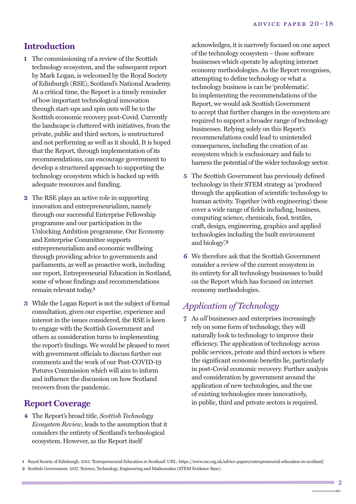## **Introduction**

- **1** The commissioning of a review of the Scottish technology ecosystem, and the subsequent report by Mark Logan, is welcomed by the Royal Society of Edinburgh (RSE), Scotland's National Academy. At a critical time, the Report is a timely reminder of how important technological innovation through start-ups and spin outs will be to the Scottish economic recovery post-Covid. Currently the landscape is cluttered with initiatives, from the private, public and third sectors, is unstructured and not performing as well as it should. It is hoped that the Report, through implementation of its recommendations, can encourage government to develop a structured approach to supporting the technology ecosystem which is backed up with adequate resources and funding.
- **2** The RSE plays an active role in supporting innovation and entrepreneurialism, namely through our successful Enterprise Fellowship programme and our participation in the Unlocking Ambition programme. Our Economy and Enterprise Committee supports entrepreneurialism and economic wellbeing through providing advice to governments and parliaments, as well as proactive work, including our report, Entrepreneurial Education in Scotland, some of whose findings and recommendations remain relevant today. **1**
- **3** While the Logan Report is not the subject of formal consultation, given our expertise, experience and interest in the issues considered, the RSE is keen to engage with the Scottish Government and others as consideration turns to implementing the report's findings. We would be pleased to meet with government officials to discuss further our comments and the work of our Post-COVID-19 Futures Commission which will aim to inform and influence the discussion on how Scotland recovers from the pandemic.

#### **Report Coverage**

**4** The Report's broad title, *Scottish Technology Ecosystem Review*, leads to the assumption that it considers the entirety of Scotland's technological ecosystem. However, as the Report itself

acknowledges, it is narrowly focused on one aspect of the technology ecosystem – those software businesses which operate by adopting internet economy methodologies. As the Report recognises, attempting to define technology or what a technology business is can be 'problematic'. In implementing the recommendations of the Report, we would ask Scottish Government to accept that further changes in the ecosystem are required to support a broader range of technology businesses. Relying solely on this Report's recommendations could lead to unintended consequences, including the creation of an ecosystem which is exclusionary and fails to harness the potential of the wider technology sector.

- **5** The Scottish Government has previously defined technology in their STEM strategy as 'produced through the application of scientific technology to human activity. Together (with engineering) these cover a wide range of fields including, business, computing science, chemicals, food, textiles, craft, design, engineering, graphics and applied technologies including the built environment and biology'. **2**
- **6** We therefore ask that the Scottish Government consider a review of the current ecosystem in its entirety for all technology businesses to build on the Report which has focused on internet economy methodologies.

#### *Application of Technology*

**7** As *all* businesses and enterprises increasingly rely on some form of technology, they will naturally look to technology to improve their efficiency. The application of technology across public services, private and third sectors is where the significant economic benefits lie, particularly in post-Covid economic recovery. Further analysis and consideration by government around the application of new technologies, and the use of existing technologies more innovatively, in public, third and private sectors is required.

**<sup>1</sup>** Royal Society of Edinburgh. 2015. 'Entrepreneurial Education in Scotland'. URL: https://www.rse.org.uk/advice-papers/entrepreneurial-education-in-scotland/

**<sup>2</sup>** Scottish Government. 2017. 'Science, Technology, Engineering and Mathematics (STEM Evidence Base).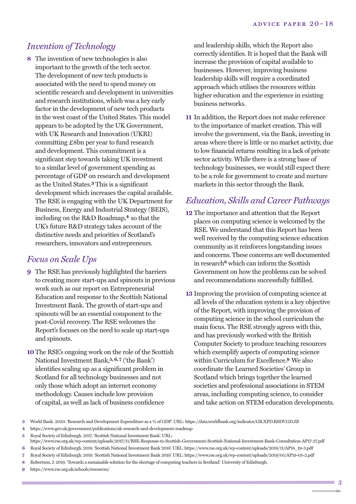## *Invention of Technology*

**8** The invention of new technologies is also important to the growth of the tech sector. The development of new tech products is associated with the need to spend money on scientific research and development in universities and research institutions, which was a key early factor in the development of new tech products in the west coast of the United States. This model appears to be adopted by the UK Government, with UK Research and Innovation (UKRI) committing £8bn per year to fund research and development. This commitment is a significant step towards taking UK investment to a similar level of government spending as percentage of GDP on research and development as the United States. **3** This is a significant development which increases the capital available. The RSE is engaging with the UK Department for Business, Energy and Industrial Strategy (BEIS), including on the R&D Roadmap, **4** so that the UK's future R&D strategy takes account of the distinctive needs and priorities of Scotland's researchers, innovators and entrepreneurs.

#### *Focus on Scale Ups*

- **9** The RSE has previously highlighted the barriers to creating more start-ups and spinouts in previous work such as our report on Entrepreneurial Education and response to the Scottish National Investment Bank. The growth of start-ups and spinouts will be an essential component to the post-Covid recovery. The RSE welcomes the Report's focuses on the need to scale up start-ups and spinouts.
- **10**The RSE's ongoing work on the role of the Scottish National Investment Bank, **5,6, 7** ('the Bank') identifies scaling up as a significant problem in Scotland for all technology businesses and not only those which adopt an internet economy methodology. Causes include low provision of capital, as well as lack of business confidence

and leadership skills, which the Report also correctly identifies. It is hoped that the Bank will increase the provision of capital available to businesses. However, improving business leadership skills will require a coordinated approach which utilises the resources within higher education and the experience in existing business networks.

**11** In addition, the Report does not make reference to the importance of market creation. This will involve the government, via the Bank, investing in areas where there is little or no market activity, due to low financial returns resulting in a lack of private sector activity. While there is a strong base of technology businesses, we would still expect there to be a role for government to create and nurture markets in this sector through the Bank.

## *Education, Skills and Career Pathways*

- **12** The importance and attention that the Report places on computing science is welcomed by the RSE. We understand that this Report has been well received by the computing science education community as it reinforces longstanding issues and concerns. These concerns are well documented in research**8** which can inform the Scottish Government on how the problems can be solved and recommendations successfully fulfilled.
- **13** Improving the provision of computing science at all levels of the education system is a key objective of the Report, with improving the provision of computing science in the school curriculum the main focus. The RSE strongly agrees with this, and has previously worked with the British Computer Society to produce teaching resources which exemplify aspects of computing science within Curriculum for Excellence. **9** We also coordinate the Learned Societies' Group in Scotland which brings together the learned societies and professional associations in STEM areas, including computing science, to consider and take action on STEM education developments.

**6** Royal Society of Edinburgh. 2018. 'Scottish National Investment Bank 2018'. URL: https://www.rse.org.uk/wp-content/uploads/2018/11/AP18\_19-3.pdf

**9** https://www.rse.org.uk/schools/resources/

**<sup>3</sup>** World Bank. 2020. 'Research and Development Expenditure as a % of GDP'. URL: https://data.worldbank.org/indicator/GB.XPD.RSDV.GD.ZS

**<sup>4</sup>** https://www.gov.uk/government/publications/uk-research-and-development-roadmap

**<sup>5</sup>** Royal Society of Edinburgh. 2017. 'Scottish National Investment Bank'. URL:

https://www.rse.org.uk/wp-content/uploads/2017/11/RSE-Response-to-Scottish-Government-Scottish-National-Investment-Bank-Consultation-AP17-27.pdf

**<sup>7</sup>** Royal Society of Edinburgh. 2019. 'Scottish National Investment Bank 2019'. URL: https://www.rse.org.uk/wp-content/uploads/2019/05/AP19-05-2.pdf

**<sup>8</sup>** Robertson, J. 2019. 'Towards a sustainable solution for the shortage of computing teachers in Scotland'. University of Edinburgh.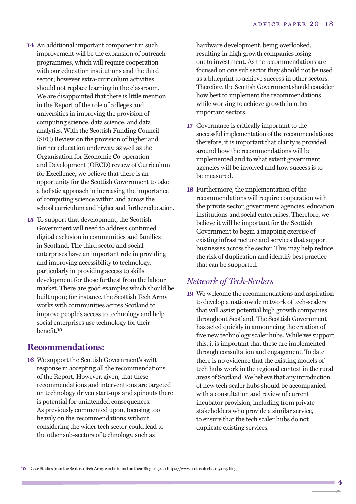- **14** An additional important component in such improvement will be the expansion of outreach programmes, which will require cooperation with our education institutions and the third sector; however extra-curriculum activities should not replace learning in the classroom. We are disappointed that there is little mention in the Report of the role of colleges and universities in improving the provision of computing science, data science, and data analytics. With the Scottish Funding Council (SFC) Review on the provision of higher and further education underway, as well as the Organisation for Economic Co-operation and Development (OECD) review of Curriculum for Excellence, we believe that there is an opportunity for the Scottish Government to take a holistic approach in increasing the importance of computing science within and across the school curriculum and higher and further education.
- **15** To support that development, the Scottish Government will need to address continued digital exclusion in communities and families in Scotland. The third sector and social enterprises have an important role in providing and improving accessibility to technology, particularly in providing access to skills development for those furthest from the labour market. There are good examples which should be built upon; for instance, the Scottish Tech Army works with communities across Scotland to improve people's access to technology and help social enterprises use technology for their benefit. **10**

## **Recommendations:**

**16** We support the Scottish Government's swift response in accepting all the recommendations of the Report. However, given, that these recommendations and interventions are targeted on technology driven start-ups and spinouts there is potential for unintended consequences. As previously commented upon, focusing too heavily on the recommendations without considering the wider tech sector could lead to the other sub-sectors of technology, such as

hardware development, being overlooked, resulting in high growth companies losing out to investment. As the recommendations are focused on one sub sector they should not be used as a blueprint to achieve success in other sectors. Therefore, the Scottish Government should consider how best to implement the recommendations while working to achieve growth in other important sectors.

- **17** Governance is critically important to the successful implementation of the recommendations; therefore, it is important that clarity is provided around how the recommendations will be implemented and to what extent government agencies will be involved and how success is to be measured.
- **18** Furthermore, the implementation of the recommendations will require cooperation with the private sector, government agencies, education institutions and social enterprises. Therefore, we believe it will be important for the Scottish Government to begin a mapping exercise of existing infrastructure and services that support businesses across the sector. This may help reduce the risk of duplication and identify best practice that can be supported.

## *Network of Tech-Scalers*

**19** We welcome the recommendations and aspiration to develop a nationwide network of tech-scalers that will assist potential high growth companies throughout Scotland. The Scottish Government has acted quickly in announcing the creation of five new technology scaler hubs. While we support this, it is important that these are implemented through consultation and engagement. To date there is no evidence that the existing models of tech hubs work in the regional context in the rural areas of Scotland. We believe that any introduction of new tech scaler hubs should be accompanied with a consultation and review of current incubator provision, including from private stakeholders who provide a similar service, to ensure that the tech scaler hubs do not duplicate existing services.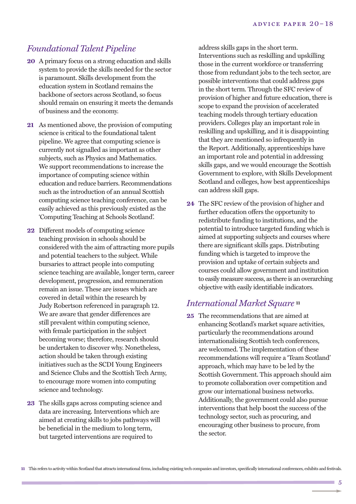## *Foundational Talent Pipeline*

- **20** A primary focus on a strong education and skills system to provide the skills needed for the sector is paramount. Skills development from the education system in Scotland remains the backbone of sectors across Scotland, so focus should remain on ensuring it meets the demands of business and the economy.
- **21** As mentioned above, the provision of computing science is critical to the foundational talent pipeline. We agree that computing science is currently not signalled as important as other subjects, such as Physics and Mathematics. We support recommendations to increase the importance of computing science within education and reduce barriers. Recommendations such as the introduction of an annual Scottish computing science teaching conference, can be easily achieved as this previously existed as the 'Computing Teaching at Schools Scotland'.
- **22** Different models of computing science teaching provision in schools should be considered with the aim of attracting more pupils and potential teachers to the subject. While bursaries to attract people into computing science teaching are available, longer term, career development, progression, and remuneration remain an issue. These are issues which are covered in detail within the research by Judy Robertson referenced in paragraph 12. We are aware that gender differences are still prevalent within computing science, with female participation in the subject becoming worse; therefore, research should be undertaken to discover why. Nonetheless, action should be taken through existing initiatives such as the SCDI Young Engineers and Science Clubs and the Scottish Tech Army, to encourage more women into computing science and technology.
- **23** The skills gaps across computing science and data are increasing. Interventions which are aimed at creating skills to jobs pathways will be beneficial in the medium to long term, but targeted interventions are required to

address skills gaps in the short term. Interventions such as reskilling and upskilling those in the current workforce or transferring those from redundant jobs to the tech sector, are possible interventions that could address gaps in the short term. Through the SFC review of provision of higher and future education, there is scope to expand the provision of accelerated teaching models through tertiary education providers. Colleges play an important role in reskilling and upskilling, and it is disappointing that they are mentioned so infrequently in the Report. Additionally, apprenticeships have an important role and potential in addressing skills gaps, and we would encourage the Scottish Government to explore, with Skills Development Scotland and colleges, how best apprenticeships can address skill gaps.

**24** The SFC review of the provision of higher and further education offers the opportunity to redistribute funding to institutions, and the potential to introduce targeted funding which is aimed at supporting subjects and courses where there are significant skills gaps. Distributing funding which is targeted to improve the provision and uptake of certain subjects and courses could allow government and institution to easily measure success, as there is an overarching objective with easily identifiable indicators.

#### *International Market Square* **<sup>11</sup>**

**25** The recommendations that are aimed at enhancing Scotland's market square activities, particularly the recommendations around internationalising Scottish tech conferences, are welcomed. The implementation of these recommendations will require a 'Team Scotland' approach, which may have to be led by the Scottish Government. This approach should aim to promote collaboration over competition and grow our international business networks. Additionally, the government could also pursue interventions that help boost the success of the technology sector, such as procuring, and encouraging other business to procure, from the sector.

5

**<sup>11</sup>** This refers to activity within Scotland that attracts international firms, including existing tech companies and investors, specifically international conferences, exhibits and festivals.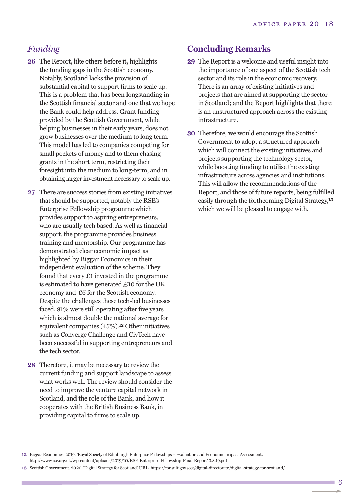#### *Funding*

- **26** The Report, like others before it, highlights the funding gaps in the Scottish economy. Notably, Scotland lacks the provision of substantial capital to support firms to scale up. This is a problem that has been longstanding in the Scottish financial sector and one that we hope the Bank could help address. Grant funding provided by the Scottish Government, while helping businesses in their early years, does not grow businesses over the medium to long term. This model has led to companies competing for small pockets of money and to them chasing grants in the short term, restricting their foresight into the medium to long-term, and in obtaining larger investment necessary to scale up.
- **27** There are success stories from existing initiatives that should be supported, notably the RSE's Enterprise Fellowship programme which provides support to aspiring entrepreneurs, who are usually tech based. As well as financial support, the programme provides business training and mentorship. Our programme has demonstrated clear economic impact as highlighted by Biggar Economics in their independent evaluation of the scheme. They found that every £1 invested in the programme is estimated to have generated £10 for the UK economy and £6 for the Scottish economy. Despite the challenges these tech-led businesses faced, 81% were still operating after five years which is almost double the national average for equivalent companies (45%). **12** Other initiatives such as Converge Challenge and CivTech have been successful in supporting entrepreneurs and the tech sector.
- **28** Therefore, it may be necessary to review the current funding and support landscape to assess what works well. The review should consider the need to improve the venture capital network in Scotland, and the role of the Bank, and how it cooperates with the British Business Bank, in providing capital to firms to scale up.

#### **Concluding Remarks**

- **29** The Report is a welcome and useful insight into the importance of one aspect of the Scottish tech sector and its role in the economic recovery. There is an array of existing initiatives and projects that are aimed at supporting the sector in Scotland; and the Report highlights that there is an unstructured approach across the existing infrastructure.
- **30** Therefore, we would encourage the Scottish Government to adopt a structured approach which will connect the existing initiatives and projects supporting the technology sector, while boosting funding to utilise the existing infrastructure across agencies and institutions. This will allow the recommendations of the Report, and those of future reports, being fulfilled easily through the forthcoming Digital Strategy, **13** which we will be pleased to engage with.

**12** Biggar Economics. 2019. 'Royal Society of Edinburgh Enterprise Fellowships – Evaluation and Economic Impact Assessment'. http://www.rse.org.uk/wp-content/uploads/2019/10/RSE-Enterprise-Fellowship-Final-Report13.8.19.pdf

**<sup>13</sup>** Scottish Government. 2020. 'Digital Strategy for Scotland'. URL: https://consult.gov.scot/digital-directorate/digital-strategy-for-scotland/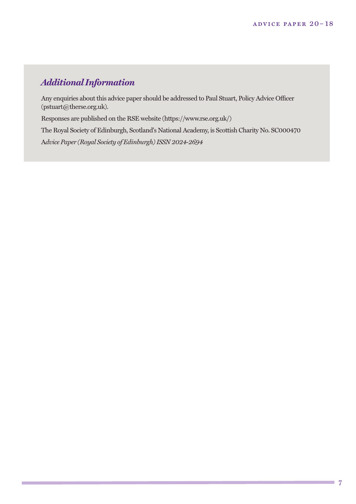# *Additional Information*

Any enquiries about this advice paper should be addressed to Paul Stuart, Policy Advice Officer (pstuart@therse.org.uk).

Responses are published on the RSE website (https://www.rse.org.uk/)

The Royal Society of Edinburgh, Scotland's National Academy, is Scottish Charity No. SC000470 A*dvice Paper (Royal Society of Edinburgh)ISSN 2024-2694*